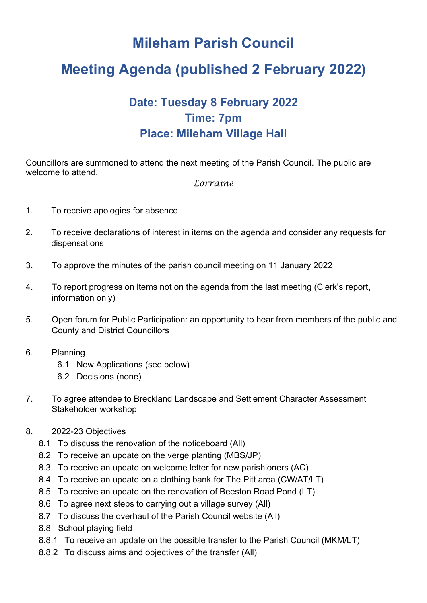## **Mileham Parish Council**

# **Meeting Agenda (published 2 February 2022)**

### **Date: Tuesday 8 February 2022 Time: 7pm Place: Mileham Village Hall**

Councillors are summoned to attend the next meeting of the Parish Council. The public are welcome to attend.

#### *Lorraine*

- 1. To receive apologies for absence
- 2. To receive declarations of interest in items on the agenda and consider any requests for dispensations
- 3. To approve the minutes of the parish council meeting on 11 January 2022
- 4. To report progress on items not on the agenda from the last meeting (Clerk's report, information only)
- 5. Open forum for Public Participation: an opportunity to hear from members of the public and County and District Councillors
- 6. Planning
	- 6.1 New Applications (see below)
	- 6.2 Decisions (none)
- 7. To agree attendee to Breckland Landscape and Settlement Character Assessment Stakeholder workshop
- 8. 2022-23 Objectives
	- 8.1 To discuss the renovation of the noticeboard (All)
	- 8.2 To receive an update on the verge planting (MBS/JP)
	- 8.3 To receive an update on welcome letter for new parishioners (AC)
	- 8.4 To receive an update on a clothing bank for The Pitt area (CW/AT/LT)
	- 8.5 To receive an update on the renovation of Beeston Road Pond (LT)
	- 8.6 To agree next steps to carrying out a village survey (All)
	- 8.7 To discuss the overhaul of the Parish Council website (All)
	- 8.8 School playing field
	- 8.8.1 To receive an update on the possible transfer to the Parish Council (MKM/LT)
	- 8.8.2 To discuss aims and objectives of the transfer (All)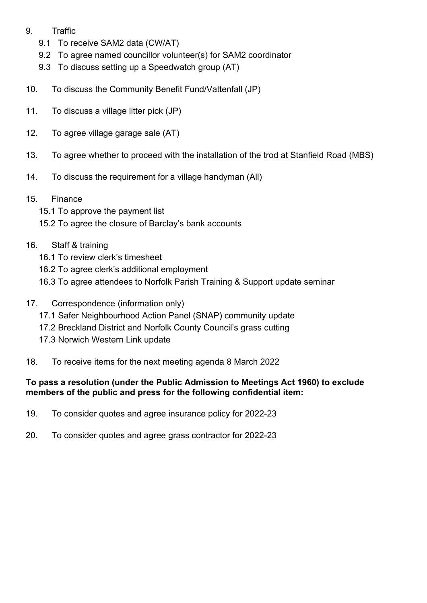- 9. Traffic
	- 9.1 To receive SAM2 data (CW/AT)
	- 9.2 To agree named councillor volunteer(s) for SAM2 coordinator
	- 9.3 To discuss setting up a Speedwatch group (AT)
- 10. To discuss the Community Benefit Fund/Vattenfall (JP)
- 11. To discuss a village litter pick (JP)
- 12. To agree village garage sale (AT)
- 13. To agree whether to proceed with the installation of the trod at Stanfield Road (MBS)
- 14. To discuss the requirement for a village handyman (All)
- 15. Finance
	- 15.1 To approve the payment list
	- 15.2 To agree the closure of Barclay's bank accounts

#### 16. Staff & training

- 16.1 To review clerk's timesheet
- 16.2 To agree clerk's additional employment
- 16.3 To agree attendees to Norfolk Parish Training & Support update seminar
- 17. Correspondence (information only)
	- 17.1 Safer Neighbourhood Action Panel (SNAP) community update
	- 17.2 Breckland District and Norfolk County Council's grass cutting
	- 17.3 Norwich Western Link update
- 18. To receive items for the next meeting agenda 8 March 2022

#### **To pass a resolution (under the Public Admission to Meetings Act 1960) to exclude members of the public and press for the following confidential item:**

- 19. To consider quotes and agree insurance policy for 2022-23
- 20. To consider quotes and agree grass contractor for 2022-23